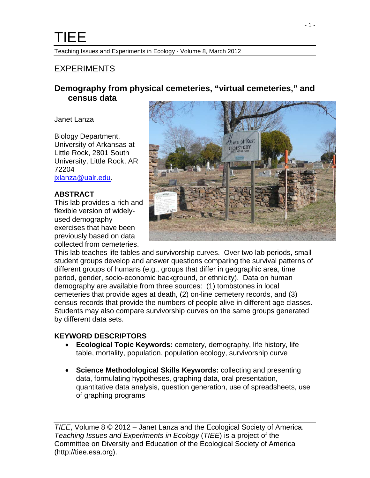Teaching Issues and Experiments in Ecology - Volume 8, March 2012

#### EXPERIMENTS

#### **Demography from physical cemeteries, "virtual cemeteries," and census data**

Janet Lanza

Biology Department, University of Arkansas at Little Rock, 2801 South University, Little Rock, AR 72204 [jxlanza@ualr.edu.](mailto:jxlanza@ualr.edu)

#### **ABSTRACT**

This lab provides a rich and flexible version of widelyused demography exercises that have been previously based on data collected from cemeteries.



This lab teaches life tables and survivorship curves. Over two lab periods, small student groups develop and answer questions comparing the survival patterns of different groups of humans (e.g., groups that differ in geographic area, time period, gender, socio-economic background, or ethnicity). Data on human demography are available from three sources: (1) tombstones in local cemeteries that provide ages at death, (2) on-line cemetery records, and (3) census records that provide the numbers of people alive in different age classes. Students may also compare survivorship curves on the same groups generated by different data sets.

#### **KEYWORD DESCRIPTORS**

- **Ecological Topic Keywords:** cemetery, demography, life history, life table, mortality, population, population ecology, survivorship curve
- **Science Methodological Skills Keywords:** collecting and presenting data, formulating hypotheses, graphing data, oral presentation, quantitative data analysis, question generation, use of spreadsheets, use of graphing programs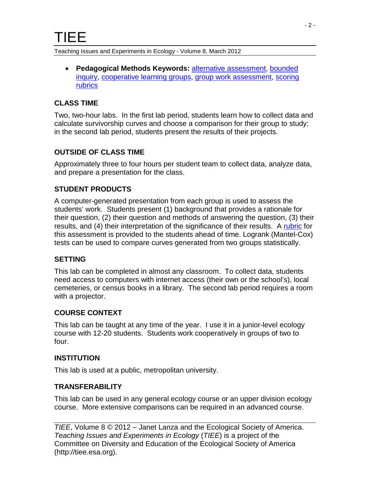• **Pedagogical Methods Keywords:** [alternative assessment,](http://tiee.esa.org/teach/teach_glossary.html#alternative) [bounded](http://tiee.esa.org/teach/teach_glossary.html#bounded)  [inquiry,](http://tiee.esa.org/teach/teach_glossary.html#bounded) [cooperative learning groups,](http://tiee.esa.org/teach/teach_glossary.html#cooperativegroups) [group work assessment,](http://tiee.esa.org/teach/teach_glossary.html#group_work_assessment) [scoring](http://tiee.esa.org/teach/teach_glossary.html#rubric)  [rubrics](http://tiee.esa.org/teach/teach_glossary.html#rubric)

#### **CLASS TIME**

Two, two-hour labs. In the first lab period, students learn how to collect data and calculate survivorship curves and choose a comparison for their group to study; in the second lab period, students present the results of their projects.

#### **OUTSIDE OF CLASS TIME**

Approximately three to four hours per student team to collect data, analyze data, and prepare a presentation for the class.

#### **STUDENT PRODUCTS**

A computer-generated presentation from each group is used to assess the students' work. Students present (1) background that provides a rationale for their question, (2) their question and methods of answering the question, (3) their results, and (4) their interpretation of the significance of their results. A [rubric](http://tiee.esa.org/vol/v8/experiments/lanza/resources/rubricscemetery.doc) for this assessment is provided to the students ahead of time. Logrank (Mantel-Cox) tests can be used to compare curves generated from two groups statistically.

#### **SETTING**

This lab can be completed in almost any classroom. To collect data, students need access to computers with internet access (their own or the school's), local cemeteries, or census books in a library. The second lab period requires a room with a projector.

#### **COURSE CONTEXT**

This lab can be taught at any time of the year. I use it in a junior-level ecology course with 12-20 students. Students work cooperatively in groups of two to four.

#### **INSTITUTION**

This lab is used at a public, metropolitan university.

#### **TRANSFERABILITY**

This lab can be used in any general ecology course or an upper division ecology course. More extensive comparisons can be required in an advanced course.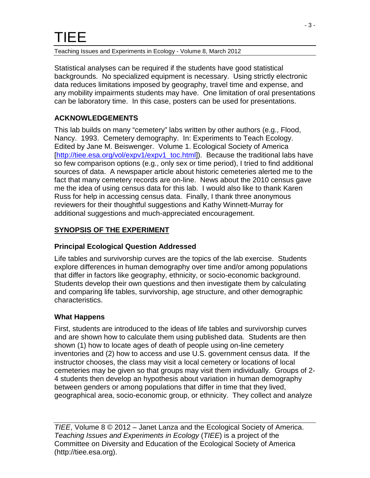Statistical analyses can be required if the students have good statistical backgrounds. No specialized equipment is necessary. Using strictly electronic data reduces limitations imposed by geography, travel time and expense, and any mobility impairments students may have. One limitation of oral presentations can be laboratory time. In this case, posters can be used for presentations.

#### **ACKNOWLEDGEMENTS**

This lab builds on many "cemetery" labs written by other authors (e.g., Flood, Nancy. 1993. Cemetery demography. In: Experiments to Teach Ecology. Edited by Jane M. Beiswenger. Volume 1. Ecological Society of America [\[http://tiee.esa.org/vol/expv1/expv1\\_toc.html\]](http://tiee.esa.org/vol/expv1/expv1_toc.html)). Because the traditional labs have so few comparison options (e.g., only sex or time period), I tried to find additional sources of data. A newspaper article about historic cemeteries alerted me to the fact that many cemetery records are on-line. News about the 2010 census gave me the idea of using census data for this lab. I would also like to thank Karen Russ for help in accessing census data. Finally, I thank three anonymous reviewers for their thoughtful suggestions and Kathy Winnett-Murray for additional suggestions and much-appreciated encouragement.

#### **SYNOPSIS OF THE EXPERIMENT**

#### **Principal Ecological Question Addressed**

Life tables and survivorship curves are the topics of the lab exercise. Students explore differences in human demography over time and/or among populations that differ in factors like geography, ethnicity, or socio-economic background. Students develop their own questions and then investigate them by calculating and comparing life tables, survivorship, age structure, and other demographic characteristics.

#### **What Happens**

First, students are introduced to the ideas of life tables and survivorship curves and are shown how to calculate them using published data. Students are then shown (1) how to locate ages of death of people using on-line cemetery inventories and (2) how to access and use U.S. government census data. If the instructor chooses, the class may visit a local cemetery or locations of local cemeteries may be given so that groups may visit them individually. Groups of 2- 4 students then develop an hypothesis about variation in human demography between genders or among populations that differ in time that they lived, geographical area, socio-economic group, or ethnicity. They collect and analyze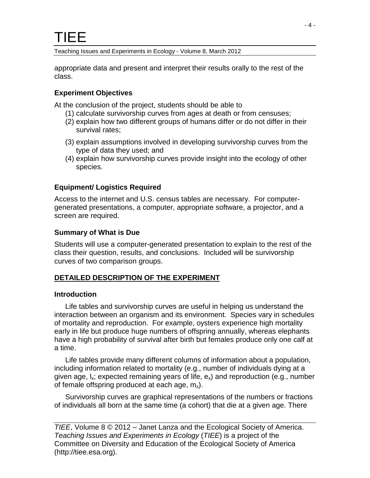appropriate data and present and interpret their results orally to the rest of the class.

#### **Experiment Objectives**

At the conclusion of the project, students should be able to

- (1) calculate survivorship curves from ages at death or from censuses;
- (2) explain how two different groups of humans differ or do not differ in their survival rates;
- (3) explain assumptions involved in developing survivorship curves from the type of data they used; and
- (4) explain how survivorship curves provide insight into the ecology of other species.

#### **Equipment/ Logistics Required**

Access to the internet and U.S. census tables are necessary. For computergenerated presentations, a computer, appropriate software, a projector, and a screen are required.

#### **Summary of What is Due**

Students will use a computer-generated presentation to explain to the rest of the class their question, results, and conclusions. Included will be survivorship curves of two comparison groups.

#### **DETAILED DESCRIPTION OF THE EXPERIMENT**

#### **Introduction**

Life tables and survivorship curves are useful in helping us understand the interaction between an organism and its environment. Species vary in schedules of mortality and reproduction. For example, oysters experience high mortality early in life but produce huge numbers of offspring annually, whereas elephants have a high probability of survival after birth but females produce only one calf at a time.

Life tables provide many different columns of information about a population, including information related to mortality (e.g., number of individuals dying at a given age,  $I_x$ ; expected remaining years of life,  $e_x$ ) and reproduction (e.g., number of female offspring produced at each age,  $m_x$ ).

Survivorship curves are graphical representations of the numbers or fractions of individuals all born at the same time (a cohort) that die at a given age. There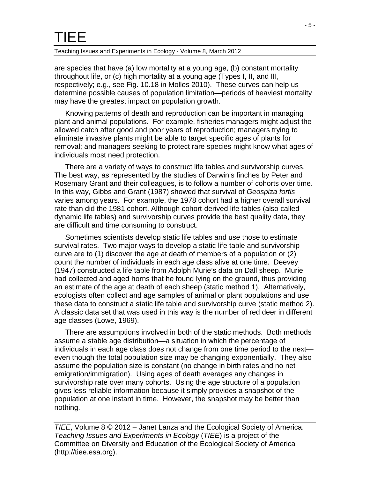Teaching Issues and Experiments in Ecology - Volume 8, March 2012

are species that have (a) low mortality at a young age, (b) constant mortality throughout life, or (c) high mortality at a young age (Types I, II, and III, respectively; e.g., see Fig. 10.18 in Molles 2010). These curves can help us determine possible causes of population limitation—periods of heaviest mortality may have the greatest impact on population growth.

Knowing patterns of death and reproduction can be important in managing plant and animal populations. For example, fisheries managers might adjust the allowed catch after good and poor years of reproduction; managers trying to eliminate invasive plants might be able to target specific ages of plants for removal; and managers seeking to protect rare species might know what ages of individuals most need protection.

There are a variety of ways to construct life tables and survivorship curves. The best way, as represented by the studies of Darwin's finches by Peter and Rosemary Grant and their colleagues, is to follow a number of cohorts over time. In this way, Gibbs and Grant (1987) showed that survival of *Geospiza fortis* varies among years. For example, the 1978 cohort had a higher overall survival rate than did the 1981 cohort. Although cohort-derived life tables (also called dynamic life tables) and survivorship curves provide the best quality data, they are difficult and time consuming to construct.

Sometimes scientists develop static life tables and use those to estimate survival rates. Two major ways to develop a static life table and survivorship curve are to (1) discover the age at death of members of a population or (2) count the number of individuals in each age class alive at one time. Deevey (1947) constructed a life table from Adolph Murie's data on Dall sheep. Murie had collected and aged horns that he found lying on the ground, thus providing an estimate of the age at death of each sheep (static method 1). Alternatively, ecologists often collect and age samples of animal or plant populations and use these data to construct a static life table and survivorship curve (static method 2). A classic data set that was used in this way is the number of red deer in different age classes (Lowe, 1969).

There are assumptions involved in both of the static methods. Both methods assume a stable age distribution—a situation in which the percentage of individuals in each age class does not change from one time period to the next even though the total population size may be changing exponentially. They also assume the population size is constant (no change in birth rates and no net emigration/immigration). Using ages of death averages any changes in survivorship rate over many cohorts. Using the age structure of a population gives less reliable information because it simply provides a snapshot of the population at one instant in time. However, the snapshot may be better than nothing.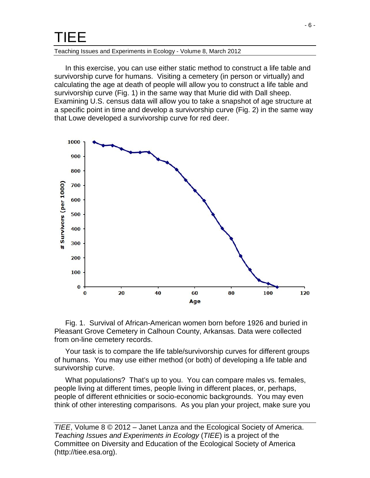#### Teaching Issues and Experiments in Ecology - Volume 8, March 2012

In this exercise, you can use either static method to construct a life table and survivorship curve for humans. Visiting a cemetery (in person or virtually) and calculating the age at death of people will allow you to construct a life table and survivorship curve (Fig. 1) in the same way that Murie did with Dall sheep. Examining U.S. census data will allow you to take a snapshot of age structure at a specific point in time and develop a survivorship curve (Fig. 2) in the same way that Lowe developed a survivorship curve for red deer.



Fig. 1. Survival of African-American women born before 1926 and buried in Pleasant Grove Cemetery in Calhoun County, Arkansas. Data were collected from on-line cemetery records.

Your task is to compare the life table/survivorship curves for different groups of humans. You may use either method (or both) of developing a life table and survivorship curve.

What populations? That's up to you. You can compare males vs. females, people living at different times, people living in different places, or, perhaps, people of different ethnicities or socio-economic backgrounds. You may even think of other interesting comparisons. As you plan your project, make sure you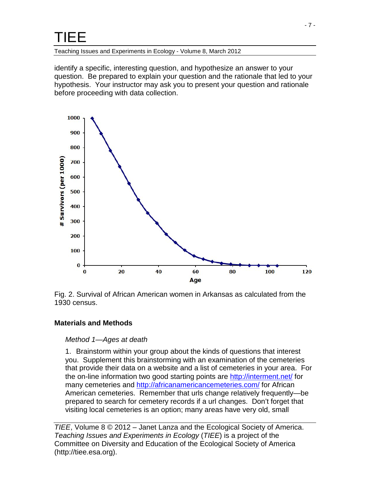Teaching Issues and Experiments in Ecology - Volume 8, March 2012

identify a specific, interesting question, and hypothesize an answer to your question. Be prepared to explain your question and the rationale that led to your hypothesis. Your instructor may ask you to present your question and rationale before proceeding with data collection.



Fig. 2. Survival of African American women in Arkansas as calculated from the 1930 census.

#### **Materials and Methods**

#### *Method 1—Ages at death*

1. Brainstorm within your group about the kinds of questions that interest you. Supplement this brainstorming with an examination of the cemeteries that provide their data on a website and a list of cemeteries in your area. For the on-line information two good starting points are<http://interment.net/> for many cemeteries and<http://africanamericancemeteries.com/> for African American cemeteries. Remember that urls change relatively frequently—be prepared to search for cemetery records if a url changes. Don't forget that visiting local cemeteries is an option; many areas have very old, small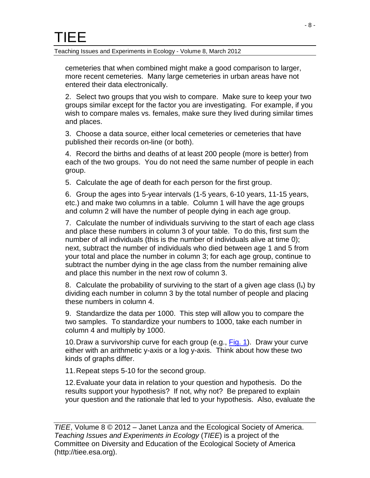cemeteries that when combined might make a good comparison to larger, more recent cemeteries. Many large cemeteries in urban areas have not entered their data electronically.

2. Select two groups that you wish to compare. Make sure to keep your two groups similar except for the factor you are investigating. For example, if you wish to compare males vs. females, make sure they lived during similar times and places.

3. Choose a data source, either local cemeteries or cemeteries that have published their records on-line (or both).

4. Record the births and deaths of at least 200 people (more is better) from each of the two groups. You do not need the same number of people in each group.

5. Calculate the age of death for each person for the first group.

6. Group the ages into 5-year intervals (1-5 years, 6-10 years, 11-15 years, etc.) and make two columns in a table. Column 1 will have the age groups and column 2 will have the number of people dying in each age group.

7. Calculate the number of individuals surviving to the start of each age class and place these numbers in column 3 of your table. To do this, first sum the number of all individuals (this is the number of individuals alive at time 0); next, subtract the number of individuals who died between age 1 and 5 from your total and place the number in column 3; for each age group, continue to subtract the number dying in the age class from the number remaining alive and place this number in the next row of column 3.

8. Calculate the probability of surviving to the start of a given age class  $(I_x)$  by dividing each number in column 3 by the total number of people and placing these numbers in column 4.

9. Standardize the data per 1000. This step will allow you to compare the two samples. To standardize your numbers to 1000, take each number in column 4 and multiply by 1000.

10.Draw a survivorship curve for each group (e.g., [Fig. 1\)](http://tiee.esa.org/vol/v8/experiments/lanza/resources/Fig%201.xls). Draw your curve either with an arithmetic y-axis or a log y-axis. Think about how these two kinds of graphs differ.

11.Repeat steps 5-10 for the second group.

12.Evaluate your data in relation to your question and hypothesis. Do the results support your hypothesis? If not, why not? Be prepared to explain your question and the rationale that led to your hypothesis. Also, evaluate the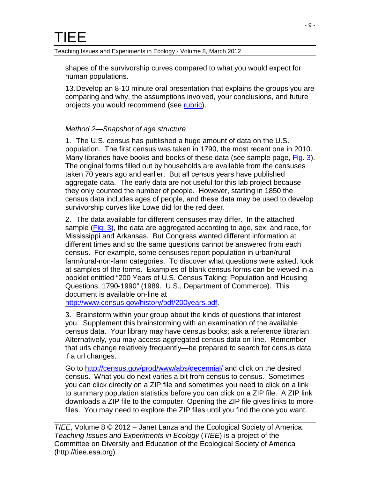shapes of the survivorship curves compared to what you would expect for human populations.

13.Develop an 8-10 minute oral presentation that explains the groups you are comparing and why, the assumptions involved, your conclusions, and future projects you would recommend (see [rubric\)](http://tiee.esa.org/vol/v8/experiments/lanza/resources/rubricscemetery.doc).

#### *Method 2—Snapshot of age structure*

1. The U.S. census has published a huge amount of data on the U.S. population. The first census was taken in 1790, the most recent one in 2010. Many libraries have books and books of these data (see sample page, [Fig. 3\)](http://tiee.esa.org/vol/v8/experiments/lanza/resources/Fig%203.pdf). The original forms filled out by households are available from the censuses taken 70 years ago and earlier. But all census years have published aggregate data. The early data are not useful for this lab project because they only counted the number of people. However, starting in 1850 the census data includes ages of people, and these data may be used to develop survivorship curves like Lowe did for the red deer.

2. The data available for different censuses may differ. In the attached sample [\(Fig. 3\)](http://tiee.esa.org/vol/v8/experiments/lanza/resources/Fig%203.pdf), the data are aggregated according to age, sex, and race, for Mississippi and Arkansas. But Congress wanted different information at different times and so the same questions cannot be answered from each census. For example, some censuses report population in urban/ruralfarm/rural-non-farm categories. To discover what questions were asked, look at samples of the forms. Examples of blank census forms can be viewed in a booklet entitled "200 Years of U.S. Census Taking: Population and Housing Questions, 1790-1990" (1989. U.S., Department of Commerce). This document is available on-line at

[http://www.census.gov/history/pdf/200years.pdf.](http://www.census.gov/history/pdf/200years.pdf)

3. Brainstorm within your group about the kinds of questions that interest you. Supplement this brainstorming with an examination of the available census data. Your library may have census books; ask a reference librarian. Alternatively, you may access aggregated census data on-line. Remember that urls change relatively frequently—be prepared to search for census data if a url changes.

Go to<http://census.gov/prod/www/abs/decennial/> and click on the desired census. What you do next varies a bit from census to census. Sometimes you can click directly on a ZIP file and sometimes you need to click on a link to summary population statistics before you can click on a ZIP file. A ZIP link downloads a ZIP file to the computer. Opening the ZIP file gives links to more files. You may need to explore the ZIP files until you find the one you want.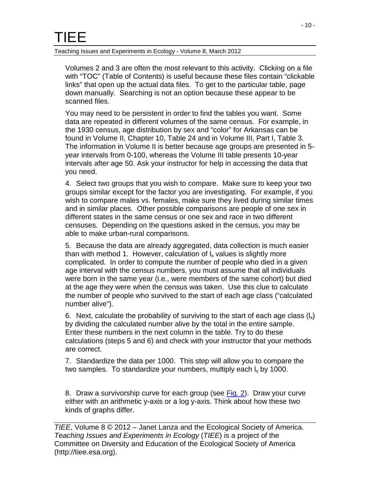Volumes 2 and 3 are often the most relevant to this activity. Clicking on a file with "TOC" (Table of Contents) is useful because these files contain "clickable links" that open up the actual data files. To get to the particular table, page down manually. Searching is not an option because these appear to be scanned files.

You may need to be persistent in order to find the tables you want. Some data are repeated in different volumes of the same census. For example, in the 1930 census, age distribution by sex and "color" for Arkansas can be found in Volume II, Chapter 10, Table 24 and in Volume III, Part I, Table 3. The information in Volume II is better because age groups are presented in 5 year intervals from 0-100, whereas the Volume III table presents 10-year intervals after age 50. Ask your instructor for help in accessing the data that you need.

4. Select two groups that you wish to compare. Make sure to keep your two groups similar except for the factor you are investigating. For example, if you wish to compare males vs. females, make sure they lived during similar times and in similar places. Other possible comparisons are people of one sex in different states in the same census or one sex and race in two different censuses. Depending on the questions asked in the census, you may be able to make urban-rural comparisons.

5. Because the data are already aggregated, data collection is much easier than with method 1. However, calculation of  $I_x$  values is slightly more complicated. In order to compute the number of people who died in a given age interval with the census numbers, you must assume that all individuals were born in the same year (i.e., were members of the same cohort) but died at the age they were when the census was taken. Use this clue to calculate the number of people who survived to the start of each age class ("calculated number alive").

6. Next, calculate the probability of surviving to the start of each age class  $(I_x)$ by dividing the calculated number alive by the total in the entire sample. Enter these numbers in the next column in the table. Try to do these calculations (steps 5 and 6) and check with your instructor that your methods are correct.

7. Standardize the data per 1000. This step will allow you to compare the two samples. To standardize your numbers, multiply each  $I_x$  by 1000.

8. Draw a survivorship curve for each group (see [Fig. 2\)](http://tiee.esa.org/vol/v8/experiments/lanza/resources/Fig%202.xls). Draw your curve either with an arithmetic y-axis or a log y-axis. Think about how these two kinds of graphs differ.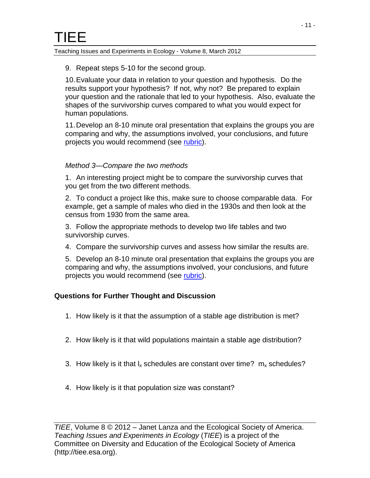#### 9. Repeat steps 5-10 for the second group.

10.Evaluate your data in relation to your question and hypothesis. Do the results support your hypothesis? If not, why not? Be prepared to explain your question and the rationale that led to your hypothesis. Also, evaluate the shapes of the survivorship curves compared to what you would expect for human populations.

11.Develop an 8-10 minute oral presentation that explains the groups you are comparing and why, the assumptions involved, your conclusions, and future projects you would recommend (see [rubric\)](http://tiee.esa.org/vol/v8/experiments/lanza/resources/rubricscemetery.doc).

#### *Method 3—Compare the two methods*

1. An interesting project might be to compare the survivorship curves that you get from the two different methods.

2. To conduct a project like this, make sure to choose comparable data. For example, get a sample of males who died in the 1930s and then look at the census from 1930 from the same area.

3. Follow the appropriate methods to develop two life tables and two survivorship curves.

4. Compare the survivorship curves and assess how similar the results are.

5. Develop an 8-10 minute oral presentation that explains the groups you are comparing and why, the assumptions involved, your conclusions, and future projects you would recommend (see [rubric\)](http://tiee.esa.org/vol/v8/experiments/lanza/resources/rubricscemetery.doc).

#### **Questions for Further Thought and Discussion**

- 1. How likely is it that the assumption of a stable age distribution is met?
- 2. How likely is it that wild populations maintain a stable age distribution?
- 3. How likely is it that  $I_x$  schedules are constant over time?  $m_x$  schedules?
- 4. How likely is it that population size was constant?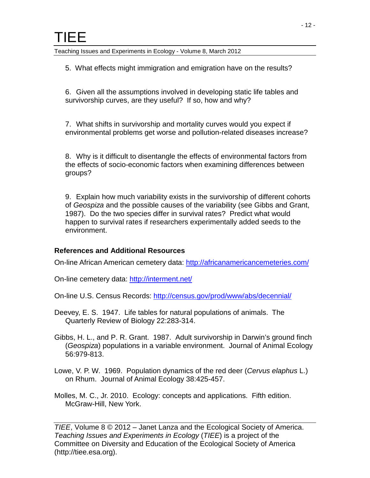5. What effects might immigration and emigration have on the results?

6. Given all the assumptions involved in developing static life tables and survivorship curves, are they useful? If so, how and why?

7. What shifts in survivorship and mortality curves would you expect if environmental problems get worse and pollution-related diseases increase?

8. Why is it difficult to disentangle the effects of environmental factors from the effects of socio-economic factors when examining differences between groups?

9. Explain how much variability exists in the survivorship of different cohorts of *Geospiza* and the possible causes of the variability (see Gibbs and Grant, 1987). Do the two species differ in survival rates? Predict what would happen to survival rates if researchers experimentally added seeds to the environment.

#### **References and Additional Resources**

On-line African American cemetery data:<http://africanamericancemeteries.com/>

On-line cemetery data:<http://interment.net/>

On-line U.S. Census Records:<http://census.gov/prod/www/abs/decennial/>

Deevey, E. S. 1947. Life tables for natural populations of animals. The Quarterly Review of Biology 22:283-314.

- Gibbs, H. L., and P. R. Grant. 1987. Adult survivorship in Darwin's ground finch (*Geospiza*) populations in a variable environment. Journal of Animal Ecology 56:979-813.
- Lowe, V. P. W. 1969. Population dynamics of the red deer (*Cervus elaphus* L.) on Rhum. Journal of Animal Ecology 38:425-457.
- Molles, M. C., Jr. 2010. Ecology: concepts and applications. Fifth edition. McGraw-Hill, New York.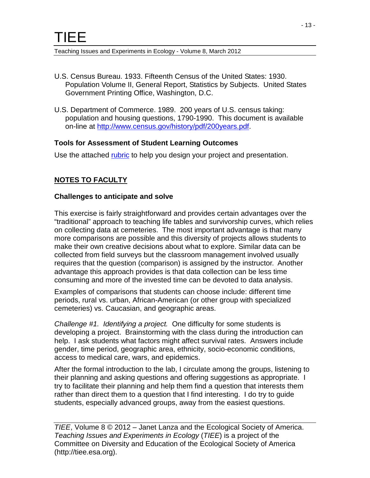- U.S. Census Bureau. 1933. Fifteenth Census of the United States: 1930. Population Volume II, General Report, Statistics by Subjects. United States Government Printing Office, Washington, D.C.
- U.S. Department of Commerce. 1989. 200 years of U.S. census taking: population and housing questions, 1790-1990. This document is available on-line at [http://www.census.gov/history/pdf/200years.pdf.](http://www.census.gov/history/pdf/200years.pdf)

#### **Tools for Assessment of Student Learning Outcomes**

Use the attached [rubric](http://tiee.esa.org/vol/v8/experiments/lanza/resources/rubricscemetery.doc) to help you design your project and presentation.

#### **NOTES TO FACULTY**

#### **Challenges to anticipate and solve**

This exercise is fairly straightforward and provides certain advantages over the "traditional" approach to teaching life tables and survivorship curves, which relies on collecting data at cemeteries. The most important advantage is that many more comparisons are possible and this diversity of projects allows students to make their own creative decisions about what to explore. Similar data can be collected from field surveys but the classroom management involved usually requires that the question (comparison) is assigned by the instructor. Another advantage this approach provides is that data collection can be less time consuming and more of the invested time can be devoted to data analysis.

Examples of comparisons that students can choose include: different time periods, rural vs. urban, African-American (or other group with specialized cemeteries) vs. Caucasian, and geographic areas.

*Challenge #1. Identifying a project.* One difficulty for some students is developing a project. Brainstorming with the class during the introduction can help. I ask students what factors might affect survival rates. Answers include gender, time period, geographic area, ethnicity, socio-economic conditions, access to medical care, wars, and epidemics.

After the formal introduction to the lab, I circulate among the groups, listening to their planning and asking questions and offering suggestions as appropriate. I try to facilitate their planning and help them find a question that interests them rather than direct them to a question that I find interesting. I do try to guide students, especially advanced groups, away from the easiest questions.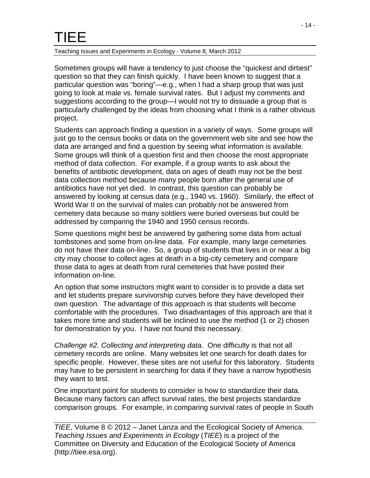Teaching Issues and Experiments in Ecology - Volume 8, March 2012

Sometimes groups will have a tendency to just choose the "quickest and dirtiest" question so that they can finish quickly. I have been known to suggest that a particular question was "boring"—e.g., when I had a sharp group that was just going to look at male vs. female survival rates. But I adjust my comments and suggestions according to the group—I would not try to dissuade a group that is particularly challenged by the ideas from choosing what I think is a rather obvious project.

Students can approach finding a question in a variety of ways. Some groups will just go to the census books or data on the government web site and see how the data are arranged and find a question by seeing what information is available. Some groups will think of a question first and then choose the most appropriate method of data collection. For example, if a group wants to ask about the benefits of antibiotic development, data on ages of death may not be the best data collection method because many people born after the general use of antibiotics have not yet died. In contrast, this question can probably be answered by looking at census data (e.g., 1940 vs. 1960). Similarly, the effect of World War II on the survival of males can probably not be answered from cemetery data because so many soldiers were buried overseas but could be addressed by comparing the 1940 and 1950 census records.

Some questions might best be answered by gathering some data from actual tombstones and some from on-line data. For example, many large cemeteries do not have their data on-line. So, a group of students that lives in or near a big city may choose to collect ages at death in a big-city cemetery and compare those data to ages at death from rural cemeteries that have posted their information on-line.

An option that some instructors might want to consider is to provide a data set and let students prepare survivorship curves before they have developed their own question. The advantage of this approach is that students will become comfortable with the procedures. Two disadvantages of this approach are that it takes more time and students will be inclined to use the method (1 or 2) chosen for demonstration by you. I have not found this necessary.

*Challenge #2. Collecting and interpreting data.* One difficulty is that not all cemetery records are online. Many websites let one search for death dates for specific people. However, these sites are not useful for this laboratory. Students may have to be persistent in searching for data if they have a narrow hypothesis they want to test.

One important point for students to consider is how to standardize their data. Because many factors can affect survival rates, the best projects standardize comparison groups. For example, in comparing survival rates of people in South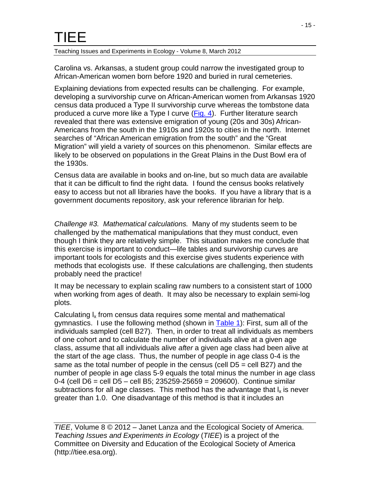Carolina vs. Arkansas, a student group could narrow the investigated group to African-American women born before 1920 and buried in rural cemeteries.

Explaining deviations from expected results can be challenging. For example, developing a survivorship curve on African-American women from Arkansas 1920 census data produced a Type II survivorship curve whereas the tombstone data produced a curve more like a Type I curve [\(Fig. 4\)](http://tiee.esa.org/vol/v8/experiments/lanza/resources/Fig%204.xls). Further literature search revealed that there was extensive emigration of young (20s and 30s) African-Americans from the south in the 1910s and 1920s to cities in the north. Internet searches of "African American emigration from the south" and the "Great Migration" will yield a variety of sources on this phenomenon. Similar effects are likely to be observed on populations in the Great Plains in the Dust Bowl era of the 1930s.

Census data are available in books and on-line, but so much data are available that it can be difficult to find the right data. I found the census books relatively easy to access but not all libraries have the books. If you have a library that is a government documents repository, ask your reference librarian for help.

*Challenge #3. Mathematical calculations.* Many of my students seem to be challenged by the mathematical manipulations that they must conduct, even though I think they are relatively simple. This situation makes me conclude that this exercise is important to conduct—life tables and survivorship curves are important tools for ecologists and this exercise gives students experience with methods that ecologists use. If these calculations are challenging, then students probably need the practice!

It may be necessary to explain scaling raw numbers to a consistent start of 1000 when working from ages of death. It may also be necessary to explain semi-log plots.

Calculating  $I_x$  from census data requires some mental and mathematical gymnastics. I use the following method (shown in [Table 1\)](http://tiee.esa.org/vol/v8/experiments/lanza/resources/Table1.xls): First, sum all of the individuals sampled (cell B27). Then, in order to treat all individuals as members of one cohort and to calculate the number of individuals alive at a given age class, assume that all individuals alive *after* a given age class had been alive at the start of the age class. Thus, the number of people in age class 0-4 is the same as the total number of people in the census (cell D5 = cell B27) and the number of people in age class 5-9 equals the total minus the number in age class 0-4 (cell  $D6 =$  cell  $D5 -$  cell B5; 235259-25659 = 209600). Continue similar subtractions for all age classes. This method has the advantage that  $I_x$  is never greater than 1.0. One disadvantage of this method is that it includes an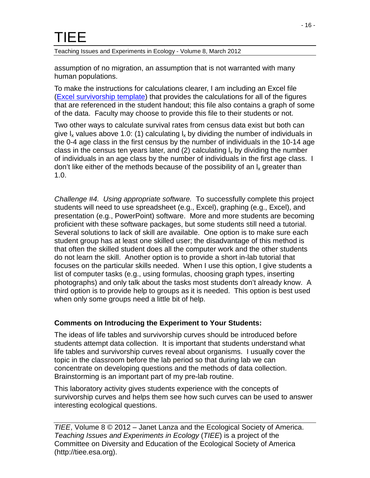Teaching Issues and Experiments in Ecology - Volume 8, March 2012

assumption of no migration, an assumption that is not warranted with many human populations.

To make the instructions for calculations clearer, I am including an Excel file [\(Excel survivorship template\)](http://tiee.esa.org/vol/v8/experiments/lanza/resources/Excel%20survivorship%20template.xls) that provides the calculations for all of the figures that are referenced in the student handout; this file also contains a graph of some of the data. Faculty may choose to provide this file to their students or not.

Two other ways to calculate survival rates from census data exist but both can give  $I_x$  values above 1.0: (1) calculating  $I_x$  by dividing the number of individuals in the 0-4 age class in the first census by the number of individuals in the 10-14 age class in the census ten years later, and (2) calculating  $I_x$  by dividing the number of individuals in an age class by the number of individuals in the first age class. I don't like either of the methods because of the possibility of an  $I_x$  greater than 1.0.

*Challenge #4. Using appropriate software.* To successfully complete this project students will need to use spreadsheet (e.g., Excel), graphing (e.g., Excel), and presentation (e.g., PowerPoint) software. More and more students are becoming proficient with these software packages, but some students still need a tutorial. Several solutions to lack of skill are available. One option is to make sure each student group has at least one skilled user; the disadvantage of this method is that often the skilled student does all the computer work and the other students do not learn the skill. Another option is to provide a short in-lab tutorial that focuses on the particular skills needed. When I use this option, I give students a list of computer tasks (e.g., using formulas, choosing graph types, inserting photographs) and only talk about the tasks most students don't already know. A third option is to provide help to groups as it is needed. This option is best used when only some groups need a little bit of help.

#### **Comments on Introducing the Experiment to Your Students:**

The ideas of life tables and survivorship curves should be introduced before students attempt data collection. It is important that students understand what life tables and survivorship curves reveal about organisms. I usually cover the topic in the classroom before the lab period so that during lab we can concentrate on developing questions and the methods of data collection. Brainstorming is an important part of my pre-lab routine.

This laboratory activity gives students experience with the concepts of survivorship curves and helps them see how such curves can be used to answer interesting ecological questions.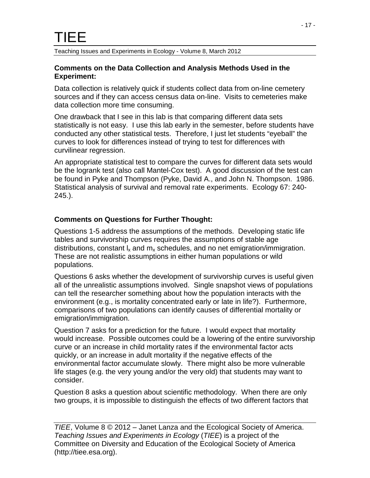#### **Comments on the Data Collection and Analysis Methods Used in the Experiment:**

Data collection is relatively quick if students collect data from on-line cemetery sources and if they can access census data on-line. Visits to cemeteries make data collection more time consuming.

One drawback that I see in this lab is that comparing different data sets statistically is not easy. I use this lab early in the semester, before students have conducted any other statistical tests. Therefore, I just let students "eyeball" the curves to look for differences instead of trying to test for differences with curvilinear regression.

An appropriate statistical test to compare the curves for different data sets would be the logrank test (also call Mantel-Cox test). A good discussion of the test can be found in Pyke and Thompson (Pyke, David A., and John N. Thompson. 1986. Statistical analysis of survival and removal rate experiments. Ecology 67: 240- 245.).

#### **Comments on Questions for Further Thought:**

Questions 1-5 address the assumptions of the methods. Developing static life tables and survivorship curves requires the assumptions of stable age distributions, constant  $I_x$  and  $m_x$  schedules, and no net emigration/immigration. These are not realistic assumptions in either human populations or wild populations.

Questions 6 asks whether the development of survivorship curves is useful given all of the unrealistic assumptions involved. Single snapshot views of populations can tell the researcher something about how the population interacts with the environment (e.g., is mortality concentrated early or late in life?). Furthermore, comparisons of two populations can identify causes of differential mortality or emigration/immigration.

Question 7 asks for a prediction for the future. I would expect that mortality would increase. Possible outcomes could be a lowering of the entire survivorship curve or an increase in child mortality rates if the environmental factor acts quickly, or an increase in adult mortality if the negative effects of the environmental factor accumulate slowly. There might also be more vulnerable life stages (e.g. the very young and/or the very old) that students may want to consider.

Question 8 asks a question about scientific methodology. When there are only two groups, it is impossible to distinguish the effects of two different factors that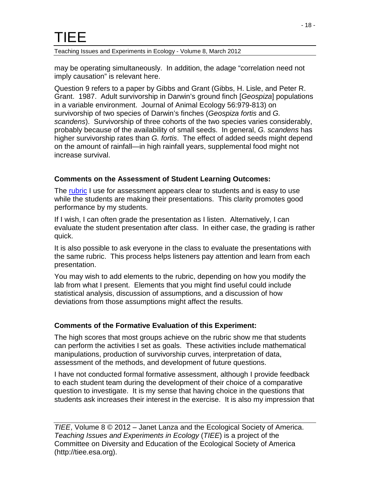may be operating simultaneously. In addition, the adage "correlation need not imply causation" is relevant here.

Question 9 refers to a paper by Gibbs and Grant (Gibbs, H. Lisle, and Peter R. Grant. 1987. Adult survivorship in Darwin's ground finch [*Geospiza*] populations in a variable environment. Journal of Animal Ecology 56:979-813) on survivorship of two species of Darwin's finches (*Geospiza fortis* and *G. scandens*). Survivorship of three cohorts of the two species varies considerably, probably because of the availability of small seeds. In general, *G. scandens* has higher survivorship rates than *G. fortis*. The effect of added seeds might depend on the amount of rainfall—in high rainfall years, supplemental food might not increase survival.

#### **Comments on the Assessment of Student Learning Outcomes:**

The [rubric](http://tiee.esa.org/vol/v8/experiments/lanza/resources/rubricscemetery.doc) I use for assessment appears clear to students and is easy to use while the students are making their presentations. This clarity promotes good performance by my students.

If I wish, I can often grade the presentation as I listen. Alternatively, I can evaluate the student presentation after class. In either case, the grading is rather quick.

It is also possible to ask everyone in the class to evaluate the presentations with the same rubric. This process helps listeners pay attention and learn from each presentation.

You may wish to add elements to the rubric, depending on how you modify the lab from what I present. Elements that you might find useful could include statistical analysis, discussion of assumptions, and a discussion of how deviations from those assumptions might affect the results.

#### **Comments of the Formative Evaluation of this Experiment:**

The high scores that most groups achieve on the rubric show me that students can perform the activities I set as goals. These activities include mathematical manipulations, production of survivorship curves, interpretation of data, assessment of the methods, and development of future questions.

I have not conducted formal formative assessment, although I provide feedback to each student team during the development of their choice of a comparative question to investigate. It is my sense that having choice in the questions that students ask increases their interest in the exercise. It is also my impression that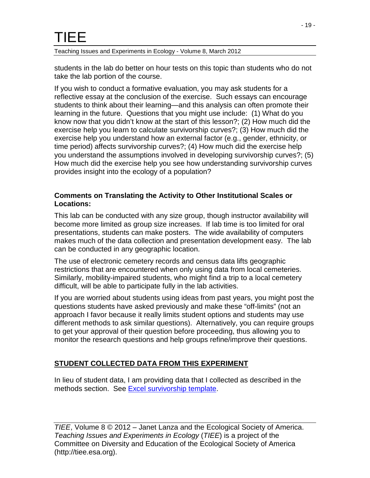students in the lab do better on hour tests on this topic than students who do not take the lab portion of the course.

If you wish to conduct a formative evaluation, you may ask students for a reflective essay at the conclusion of the exercise. Such essays can encourage students to think about their learning—and this analysis can often promote their learning in the future. Questions that you might use include: (1) What do you know now that you didn't know at the start of this lesson?; (2) How much did the exercise help you learn to calculate survivorship curves?; (3) How much did the exercise help you understand how an external factor (e.g., gender, ethnicity, or time period) affects survivorship curves?; (4) How much did the exercise help you understand the assumptions involved in developing survivorship curves?; (5) How much did the exercise help you see how understanding survivorship curves provides insight into the ecology of a population?

#### **Comments on Translating the Activity to Other Institutional Scales or Locations:**

This lab can be conducted with any size group, though instructor availability will become more limited as group size increases. If lab time is too limited for oral presentations, students can make posters. The wide availability of computers makes much of the data collection and presentation development easy. The lab can be conducted in any geographic location.

The use of electronic cemetery records and census data lifts geographic restrictions that are encountered when only using data from local cemeteries. Similarly, mobility-impaired students, who might find a trip to a local cemetery difficult, will be able to participate fully in the lab activities.

If you are worried about students using ideas from past years, you might post the questions students have asked previously and make these "off-limits" (not an approach I favor because it really limits student options and students may use different methods to ask similar questions). Alternatively, you can require groups to get your approval of their question before proceeding, thus allowing you to monitor the research questions and help groups refine/improve their questions.

#### **STUDENT COLLECTED DATA FROM THIS EXPERIMENT**

In lieu of student data, I am providing data that I collected as described in the methods section. See [Excel survivorship template.](http://tiee.esa.org/vol/v8/experiments/lanza/resources/Excel%20survivorship%20template.xls)